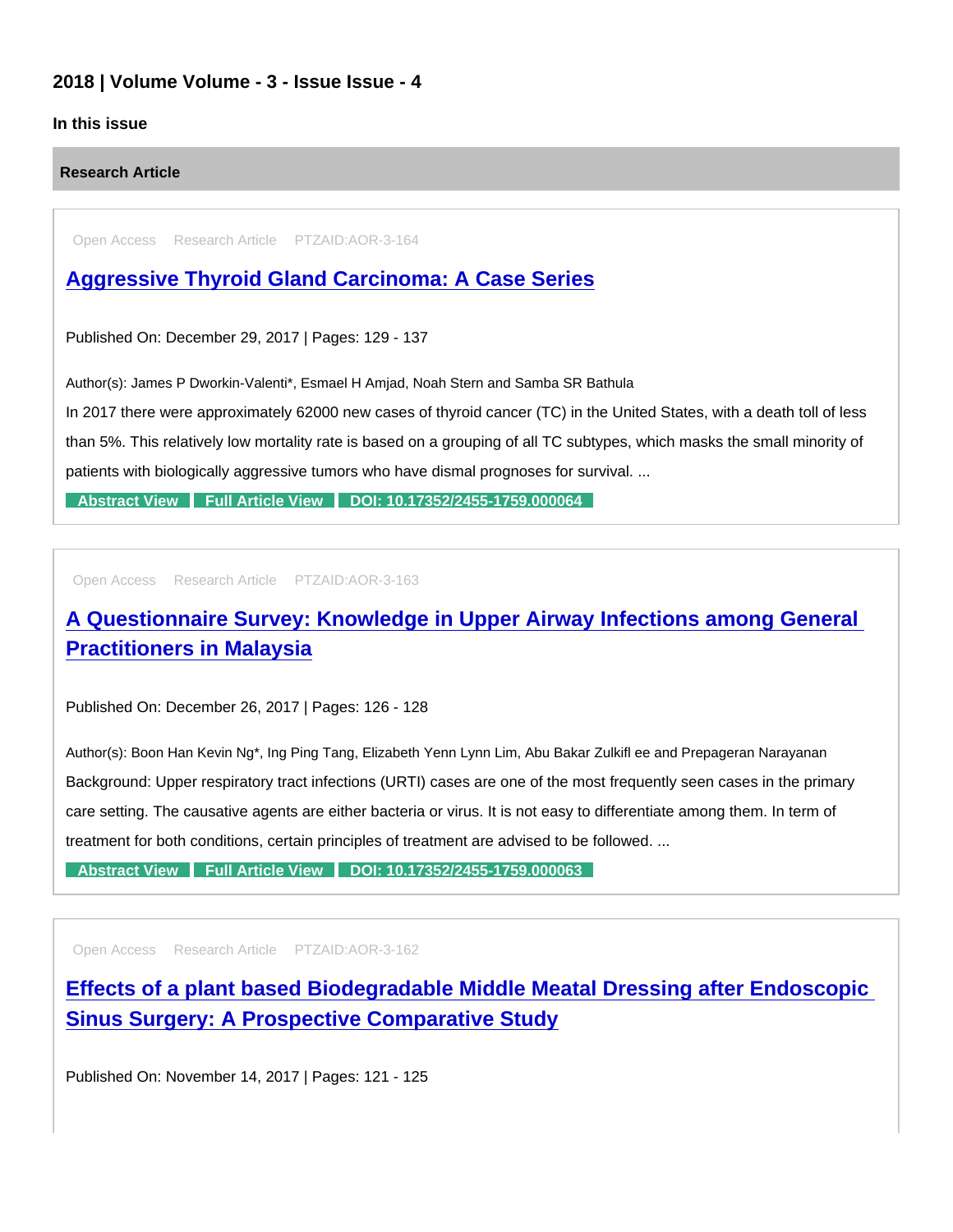## 2018 | Volume Volume - 3 - Issue Issue - 4

## In this issue

Research Article

Open Access Research Article PTZAID:AOR-3-164

## [Aggressive Thyroid Gland Carcinoma: A Case Series](https://www.peertechzpublications.com/articles/aggressive-thyroid-gland-carcinoma-a-case-series)

Published On: December 29, 2017 | Pages: 129 - 137

Author(s): James P Dworkin-Valenti\*, Esmael H Amjad, Noah Stern and Samba SR Bathula

In 2017 there were approximately 62000 new cases of thyroid cancer (TC) in the United States, with a death toll of less than 5%. This relatively low mortality rate is based on a grouping of all TC subtypes, which masks the small minority of patients with biologically aggressive tumors who have dismal prognoses for survival. ...

[Abstract View](https://www.peertechzpublications.com/abstracts/aggressive-thyroid-gland-carcinoma-a-case-series) [Full Article View](https://www.peertechzpublications.com/articles/aggressive-thyroid-gland-carcinoma-a-case-series) [DOI: 10.17352/2455-1759.000064](http://dx.doi.org/10.17352/2455-1759.000064)

Open Access Research Article PTZAID:AOR-3-163

## [A Questionnaire Survey: Knowledge in Upper Airway Infections among General](https://www.peertechzpublications.com/articles/a-questionnaire-survey-knowledge-in-upper-airway-infections-among-general-practitioners-in-malaysia)  Practitioners in Malaysia

Published On: December 26, 2017 | Pages: 126 - 128

Author(s): Boon Han Kevin Ng\*, Ing Ping Tang, Elizabeth Yenn Lynn Lim, Abu Bakar Zulkifl ee and Prepageran Narayanan Background: Upper respiratory tract infections (URTI) cases are one of the most frequently seen cases in the primary care setting. The causative agents are either bacteria or virus. It is not easy to differentiate among them. In term of treatment for both conditions, certain principles of treatment are advised to be followed. ...

[Abstract View](https://www.peertechzpublications.com/abstracts/a-questionnaire-survey-knowledge-in-upper-airway-infections-among-general-practitioners-in-malaysia) [Full Article View](https://www.peertechzpublications.com/articles/a-questionnaire-survey-knowledge-in-upper-airway-infections-among-general-practitioners-in-malaysia) [DOI: 10.17352/2455-1759.000063](http://dx.doi.org/10.17352/2455-1759.000063)

Open Access Research Article PTZAID:AOR-3-162

[Effects of a plant based Biodegradable Middle Meatal Dressing after Endoscopic](https://www.peertechzpublications.com/articles/effects-of-a-plant-based-biodegradable-middle-meatal-dressing-after-endoscopic-sinus-surgery-a-prospective-comparative-study)  Sinus Surgery: A Prospective Comparative Study

Published On: November 14, 2017 | Pages: 121 - 125